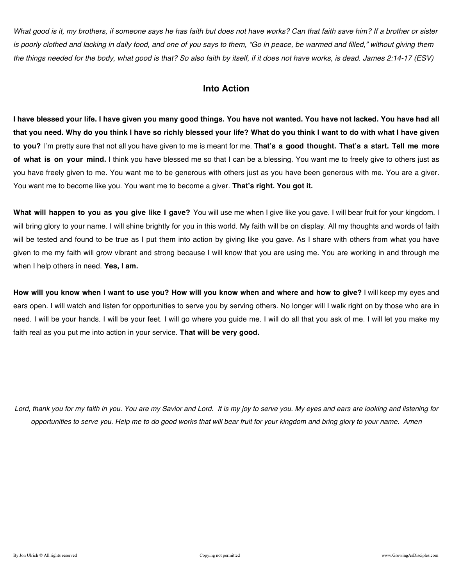*What good is it, my brothers, if someone says he has faith but does not have works? Can that faith save him? If a brother or sister*  is poorly clothed and lacking in daily food, and one of you says to them, "Go in peace, be warmed and filled," without giving them *the things needed for the body, what good is that? So also faith by itself, if it does not have works, is dead. James 2:14-17 (ESV)*

## **Into Action**

**I have blessed your life. I have given you many good things. You have not wanted. You have not lacked. You have had all that you need. Why do you think I have so richly blessed your life? What do you think I want to do with what I have given to you?** I'm pretty sure that not all you have given to me is meant for me. **That's a good thought. That's a start. Tell me more of what is on your mind.** I think you have blessed me so that I can be a blessing. You want me to freely give to others just as you have freely given to me. You want me to be generous with others just as you have been generous with me. You are a giver. You want me to become like you. You want me to become a giver. **That's right. You got it.**

**What will happen to you as you give like I gave?** You will use me when I give like you gave. I will bear fruit for your kingdom. I will bring glory to your name. I will shine brightly for you in this world. My faith will be on display. All my thoughts and words of faith will be tested and found to be true as I put them into action by giving like you gave. As I share with others from what you have given to me my faith will grow vibrant and strong because I will know that you are using me. You are working in and through me when I help others in need. **Yes, I am.**

**How will you know when I want to use you? How will you know when and where and how to give?** I will keep my eyes and ears open. I will watch and listen for opportunities to serve you by serving others. No longer will I walk right on by those who are in need. I will be your hands. I will be your feet. I will go where you guide me. I will do all that you ask of me. I will let you make my faith real as you put me into action in your service. **That will be very good.**

*Lord, thank you for my faith in you. You are my Savior and Lord. It is my joy to serve you. My eyes and ears are looking and listening for opportunities to serve you. Help me to do good works that will bear fruit for your kingdom and bring glory to your name. Amen*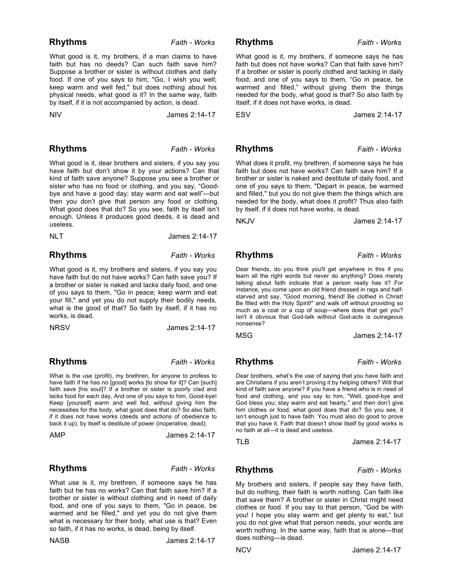**Rhythms** *Faith - Works*

What good is it, my brothers, if a man claims to have faith but has no deeds? Can such faith save him? Suppose a brother or sister is without clothes and daily food. If one of you says to him, "Go, I wish you well; keep warm and well fed," but does nothing about his physical needs, what good is it? In the same way, faith by itself, if it is not accompanied by action, is dead.

NIV James 2:14-17

 **Rhythms** *Faith - Works*

What good is it, dear brothers and sisters, if you say you have faith but don't show it by your actions? Can that kind of faith save anyone? Suppose you see a brother or sister who has no food or clothing, and you say, "Goodbye and have a good day; stay warm and eat well"—but then you don't give that person any food or clothing. What good does that do? So you see, faith by itself isn't enough. Unless it produces good deeds, it is dead and useless.

| <b>NLT</b> | James 2:14-17 |
|------------|---------------|
|            |               |

## **Rhythms** *Faith - Works*

What good is it, my brothers and sisters, if you say you have faith but do not have works? Can faith save you? If a brother or sister is naked and lacks daily food, and one of you says to them, "Go in peace; keep warm and eat your fill," and yet you do not supply their bodily needs, what is the good of that? So faith by itself, if it has no works, is dead.

 **Rhythms** *Faith - Works*

What is the use (profit), my brethren, for anyone to profess to have faith if he has no [good] works [to show for it]? Can [such] faith save [his soul]? If a brother or sister is poorly clad and lacks food for each day, And one of you says to him, Good-bye! Keep [yourself] warm and well fed, without giving him the necessities for the body, what good does that do? So also faith, if it does not have works (deeds and actions of obedience to back it up), by itself is destitute of power (inoperative, dead).

AMP James 2:14-17

 **Rhythms** *Faith - Works*

What use is it, my brethren, if someone says he has faith but he has no works? Can that faith save him? If a brother or sister is without clothing and in need of daily food, and one of you says to them, "Go in peace, be warmed and be filled," and yet you do not give them what is necessary for their body, what use is that? Even so faith, if it has no works, is dead, being by itself.

NASB James 2:14-17

 **Rhythms** *Faith - Works*

What good is it, my brothers, if someone says he has faith but does not have works? Can that faith save him? If a brother or sister is poorly clothed and lacking in daily food, and one of you says to them, "Go in peace, be warmed and filled," without giving them the things needed for the body, what good is that? So also faith by itself, if it does not have works, is dead.

ESV James 2:14-17

 **Rhythms** *Faith - Works*

What does it profit, my brethren, if someone says he has faith but does not have works? Can faith save him? If a brother or sister is naked and destitute of daily food, and one of you says to them, "Depart in peace, be warmed and filled," but you do not give them the things which are needed for the body, what does it profit? Thus also faith by itself, if it does not have works, is dead.

NKJV James 2:14-17

 **Rhythms** *Faith - Works*

Dear friends, do you think you'll get anywhere in this if you learn all the right words but never do anything? Does merely talking about faith indicate that a person really has it? For instance, you come upon an old friend dressed in rags and halfstarved and say, "Good morning, friend! Be clothed in Christ! Be filled with the Holy Spirit!" and walk off without providing so much as a coat or a cup of soup—where does that get you? Isn't it obvious that God-talk without God-acts is outrageous nonsense?

MSG James 2:14-17

Dear brothers, what's the use of saying that you have faith and are Christians if you aren't proving it by helping others? Will that kind of faith save anyone? If you have a friend who is in need of food and clothing, and you say to him, "Well, good-bye and God bless you; stay warm and eat hearty," and then don't give him clothes or food, what good does that do? So you see, it isn't enough just to have faith. You must also do good to prove that you have it. Faith that doesn't show itself by good works is no faith at all—it is dead and useless.

 **Rhythms** *Faith - Works*

TLB James 2:14-17

 **Rhythms** *Faith - Works*

My brothers and sisters, if people say they have faith, but do nothing, their faith is worth nothing. Can faith like that save them? A brother or sister in Christ might need clothes or food. If you say to that person, "God be with you! I hope you stay warm and get plenty to eat," but you do not give what that person needs, your words are worth nothing. In the same way, faith that is alone—that does nothing—is dead.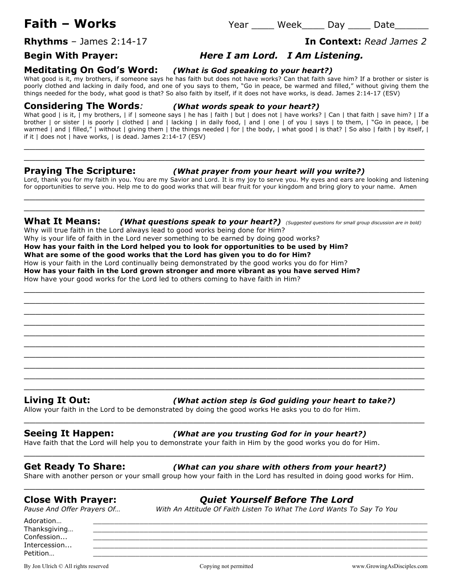## **Rhythms** – James 2:14-17 **In Context:** *Read James 2*

# **Begin With Prayer:** *Here I am Lord. I Am Listening.*

### **Meditating On God's Word:** *(What is God speaking to your heart?)*

What good is it, my brothers, if someone says he has faith but does not have works? Can that faith save him? If a brother or sister is poorly clothed and lacking in daily food, and one of you says to them, "Go in peace, be warmed and filled," without giving them the things needed for the body, what good is that? So also faith by itself, if it does not have works, is dead. James 2:14-17 (ESV)

### **Considering The Words***: (What words speak to your heart?)*

What good | is it,  $\overline{I}$  my brothers, | if | someone says | he has | faith | but | does not | have works? | Can | that faith | save him? | If a brother | or sister | is poorly | clothed | and | lacking | in daily food, | and | one | of you | says | to them, | "Go in peace, | be warmed | and | filled," | without | giving them | the things needed | for | the body, | what good | is that? | So also | faith | by itself, | if it | does not | have works, | is dead. James 2:14-17 (ESV)

 $\_$  , and the set of the set of the set of the set of the set of the set of the set of the set of the set of the set of the set of the set of the set of the set of the set of the set of the set of the set of the set of th  $\_$  , and the set of the set of the set of the set of the set of the set of the set of the set of the set of the set of the set of the set of the set of the set of the set of the set of the set of the set of the set of th

### **Praying The Scripture:** *(What prayer from your heart will you write?)*

Lord, thank you for my faith in you. You are my Savior and Lord. It is my joy to serve you. My eyes and ears are looking and listening for opportunities to serve you. Help me to do good works that will bear fruit for your kingdom and bring glory to your name. Amen  $\_$  , and the set of the set of the set of the set of the set of the set of the set of the set of the set of the set of the set of the set of the set of the set of the set of the set of the set of the set of the set of th

## **What It Means:** *(What questions speak to your heart?) (Suggested questions for small group discussion are in bold)*

 $\_$  , and the set of the set of the set of the set of the set of the set of the set of the set of the set of the set of the set of the set of the set of the set of the set of the set of the set of the set of the set of th  $\_$  , and the set of the set of the set of the set of the set of the set of the set of the set of the set of the set of the set of the set of the set of the set of the set of the set of the set of the set of the set of th  $\_$  , and the set of the set of the set of the set of the set of the set of the set of the set of the set of the set of the set of the set of the set of the set of the set of the set of the set of the set of the set of th  $\_$  , and the set of the set of the set of the set of the set of the set of the set of the set of the set of the set of the set of the set of the set of the set of the set of the set of the set of the set of the set of th  $\_$  , and the set of the set of the set of the set of the set of the set of the set of the set of the set of the set of the set of the set of the set of the set of the set of the set of the set of the set of the set of th  $\_$  , and the set of the set of the set of the set of the set of the set of the set of the set of the set of the set of the set of the set of the set of the set of the set of the set of the set of the set of the set of th  $\_$  , and the set of the set of the set of the set of the set of the set of the set of the set of the set of the set of the set of the set of the set of the set of the set of the set of the set of the set of the set of th  $\_$  , and the set of the set of the set of the set of the set of the set of the set of the set of the set of the set of the set of the set of the set of the set of the set of the set of the set of the set of the set of th  $\_$  , and the set of the set of the set of the set of the set of the set of the set of the set of the set of the set of the set of the set of the set of the set of the set of the set of the set of the set of the set of th  $\_$  , and the set of the set of the set of the set of the set of the set of the set of the set of the set of the set of the set of the set of the set of the set of the set of the set of the set of the set of the set of th

 $\_$  , and the set of the set of the set of the set of the set of the set of the set of the set of the set of the set of the set of the set of the set of the set of the set of the set of the set of the set of the set of th

Why will true faith in the Lord always lead to good works being done for Him?

Why is your life of faith in the Lord never something to be earned by doing good works?

**How has your faith in the Lord helped you to look for opportunities to be used by Him? What are some of the good works that the Lord has given you to do for Him?**

How is your faith in the Lord continually being demonstrated by the good works you do for Him?

**How has your faith in the Lord grown stronger and more vibrant as you have served Him?**

How have your good works for the Lord led to others coming to have faith in Him?

**Living It Out:** *(What action step is God guiding your heart to take?)*

Allow your faith in the Lord to be demonstrated by doing the good works He asks you to do for Him.

### **Seeing It Happen:** *(What are you trusting God for in your heart?)*

Have faith that the Lord will help you to demonstrate your faith in Him by the good works you do for Him.

### **Get Ready To Share:** *(What can you share with others from your heart?)*

Share with another person or your small group how your faith in the Lord has resulted in doing good works for Him.  $\_$  , and the set of the set of the set of the set of the set of the set of the set of the set of the set of the set of the set of the set of the set of the set of the set of the set of the set of the set of the set of th

\_\_\_\_\_\_\_\_\_\_\_\_\_\_\_\_\_\_\_\_\_\_\_\_\_\_\_\_\_\_\_\_\_\_\_\_\_\_\_\_\_\_\_\_\_\_\_\_\_\_\_\_\_\_\_\_\_\_\_\_\_\_\_\_\_\_\_\_\_\_\_

 $\_$  , and the set of the set of the set of the set of the set of the set of the set of the set of the set of the set of the set of the set of the set of the set of the set of the set of the set of the set of the set of th

## **Close With Prayer:** *Quiet Yourself Before The Lord*

*Pause And Offer Prayers Of… With An Attitude Of Faith Listen To What The Lord Wants To Say To You*

Adoration… \_\_\_\_\_\_\_\_\_\_\_\_\_\_\_\_\_\_\_\_\_\_\_\_\_\_\_\_\_\_\_\_\_\_\_\_\_\_\_\_\_\_\_\_\_\_\_\_\_\_\_\_\_\_\_\_\_\_\_\_\_\_\_\_\_\_\_\_\_\_\_\_\_\_\_\_\_\_\_ Thanksgiving... Confession... Intercession... Petition… \_\_\_\_\_\_\_\_\_\_\_\_\_\_\_\_\_\_\_\_\_\_\_\_\_\_\_\_\_\_\_\_\_\_\_\_\_\_\_\_\_\_\_\_\_\_\_\_\_\_\_\_\_\_\_\_\_\_\_\_\_\_\_\_\_\_\_\_\_\_\_\_\_\_\_\_\_\_\_

By Jon Ulrich © All rights reserved compared compared compared compared compared www.GrowingAsDisciples.com